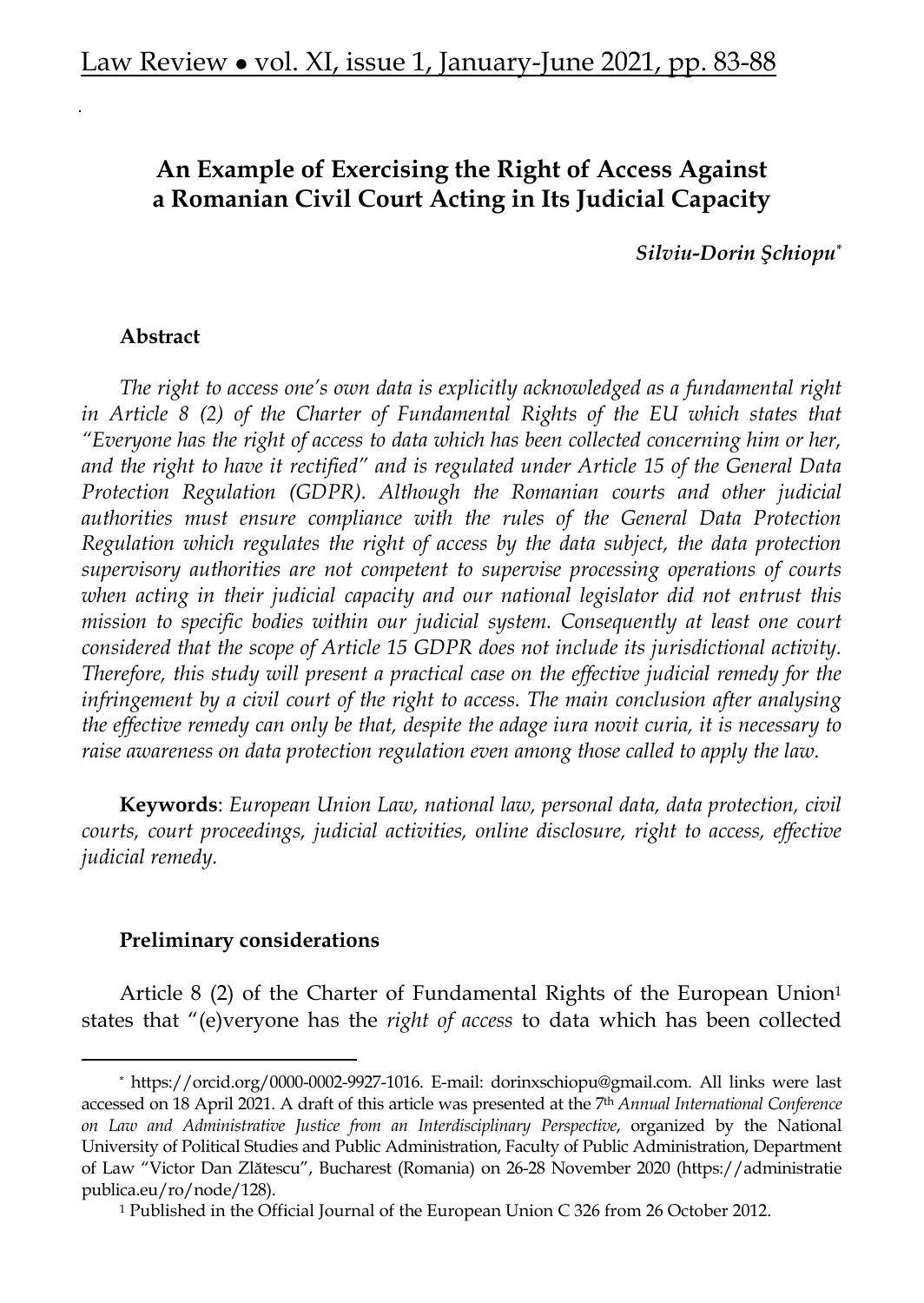# **An Example of Exercising the Right of Access Against a Romanian Civil Court Acting in Its Judicial Capacity**

*Silviu-Dorin Şchiopu\**

#### **Abstract**

*The right to access one's own data is explicitly acknowledged as a fundamental right in Article 8 (2) of the Charter of Fundamental Rights of the EU which states that "Everyone has the right of access to data which has been collected concerning him or her, and the right to have it rectified" and is regulated under Article 15 of the General Data Protection Regulation (GDPR). Although the Romanian courts and other judicial authorities must ensure compliance with the rules of the General Data Protection Regulation which regulates the right of access by the data subject, the data protection supervisory authorities are not competent to supervise processing operations of courts when acting in their judicial capacity and our national legislator did not entrust this mission to specific bodies within our judicial system. Consequently at least one court considered that the scope of Article 15 GDPR does not include its jurisdictional activity. Therefore, this study will present a practical case on the effective judicial remedy for the infringement by a civil court of the right to access. The main conclusion after analysing the effective remedy can only be that, despite the adage iura novit curia, it is necessary to raise awareness on data protection regulation even among those called to apply the law.* 

**Keywords**: *European Union Law, national law, personal data, data protection, civil courts, court proceedings, judicial activities, online disclosure, right to access, effective judicial remedy.* 

#### **Preliminary considerations**

Article 8 (2) of the Charter of Fundamental Rights of the European Union1 states that "(e)veryone has the *right of access* to data which has been collected

<sup>\*</sup> https://orcid.org/0000-0002-9927-1016. E-mail: dorinxschiopu@gmail.com. All links were last accessed on 18 April 2021. A draft of this article was presented at the 7th *Annual International Conference on Law and Administrative Justice from an Interdisciplinary Perspective*, organized by the National University of Political Studies and Public Administration, Faculty of Public Administration, Department of Law "Victor Dan Zlătescu", Bucharest (Romania) on 26-28 November 2020 (https://administratie publica.eu/ro/node/128).

<sup>1</sup> Published in the Official Journal of the European Union C 326 from 26 October 2012.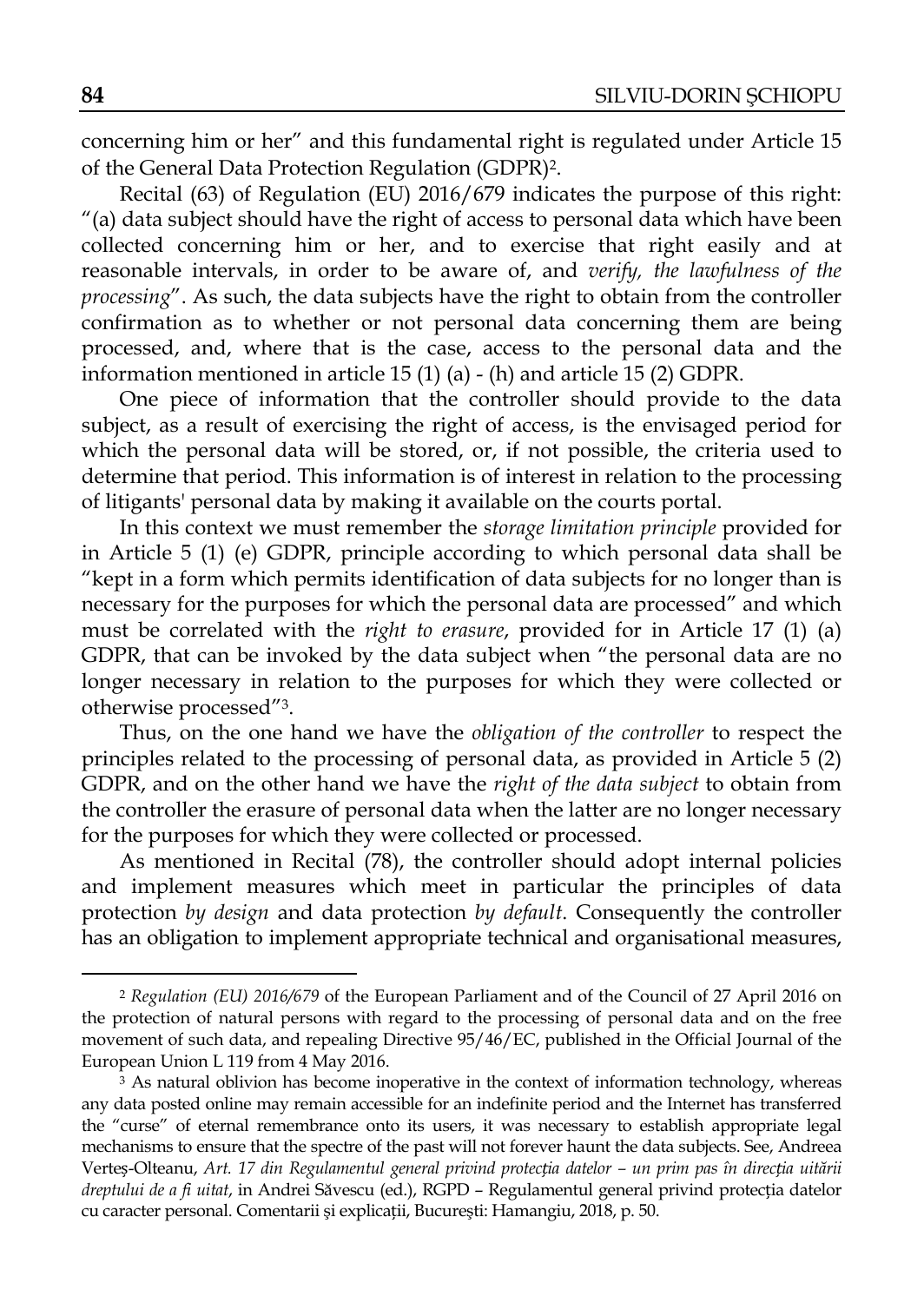concerning him or her" and this fundamental right is regulated under Article 15 of the General Data Protection Regulation (GDPR)2.

Recital (63) of Regulation (EU) 2016/679 indicates the purpose of this right: "(a) data subject should have the right of access to personal data which have been collected concerning him or her, and to exercise that right easily and at reasonable intervals, in order to be aware of, and *verify, the lawfulness of the processing*". As such, the data subjects have the right to obtain from the controller confirmation as to whether or not personal data concerning them are being processed, and, where that is the case, access to the personal data and the information mentioned in article 15 (1) (a) - (h) and article 15 (2) GDPR.

One piece of information that the controller should provide to the data subject, as a result of exercising the right of access, is the envisaged period for which the personal data will be stored, or, if not possible, the criteria used to determine that period. This information is of interest in relation to the processing of litigants' personal data by making it available on the courts portal.

In this context we must remember the *storage limitation principle* provided for in Article 5 (1) (e) GDPR, principle according to which personal data shall be "kept in a form which permits identification of data subjects for no longer than is necessary for the purposes for which the personal data are processed" and which must be correlated with the *right to erasure*, provided for in Article 17 (1) (a) GDPR, that can be invoked by the data subject when "the personal data are no longer necessary in relation to the purposes for which they were collected or otherwise processed"3.

Thus, on the one hand we have the *obligation of the controller* to respect the principles related to the processing of personal data, as provided in Article 5 (2) GDPR, and on the other hand we have the *right of the data subject* to obtain from the controller the erasure of personal data when the latter are no longer necessary for the purposes for which they were collected or processed.

As mentioned in Recital (78), the controller should adopt internal policies and implement measures which meet in particular the principles of data protection *by design* and data protection *by default*. Consequently the controller has an obligation to implement appropriate technical and organisational measures,

<sup>2</sup> *Regulation (EU) 2016/679* of the European Parliament and of the Council of 27 April 2016 on the protection of natural persons with regard to the processing of personal data and on the free movement of such data, and repealing Directive 95/46/EC, published in the Official Journal of the European Union L 119 from 4 May 2016.

<sup>&</sup>lt;sup>3</sup> As natural oblivion has become inoperative in the context of information technology, whereas any data posted online may remain accessible for an indefinite period and the Internet has transferred the "curse" of eternal remembrance onto its users, it was necessary to establish appropriate legal mechanisms to ensure that the spectre of the past will not forever haunt the data subjects. See, Andreea Verteș-Olteanu, *Art. 17 din Regulamentul general privind protecția datelor – un prim pas în direcția uitării dreptului de a fi uitat*, in Andrei Săvescu (ed.), RGPD – Regulamentul general privind protecția datelor cu caracter personal. Comentarii şi explicații, Bucureşti: Hamangiu, 2018, p. 50.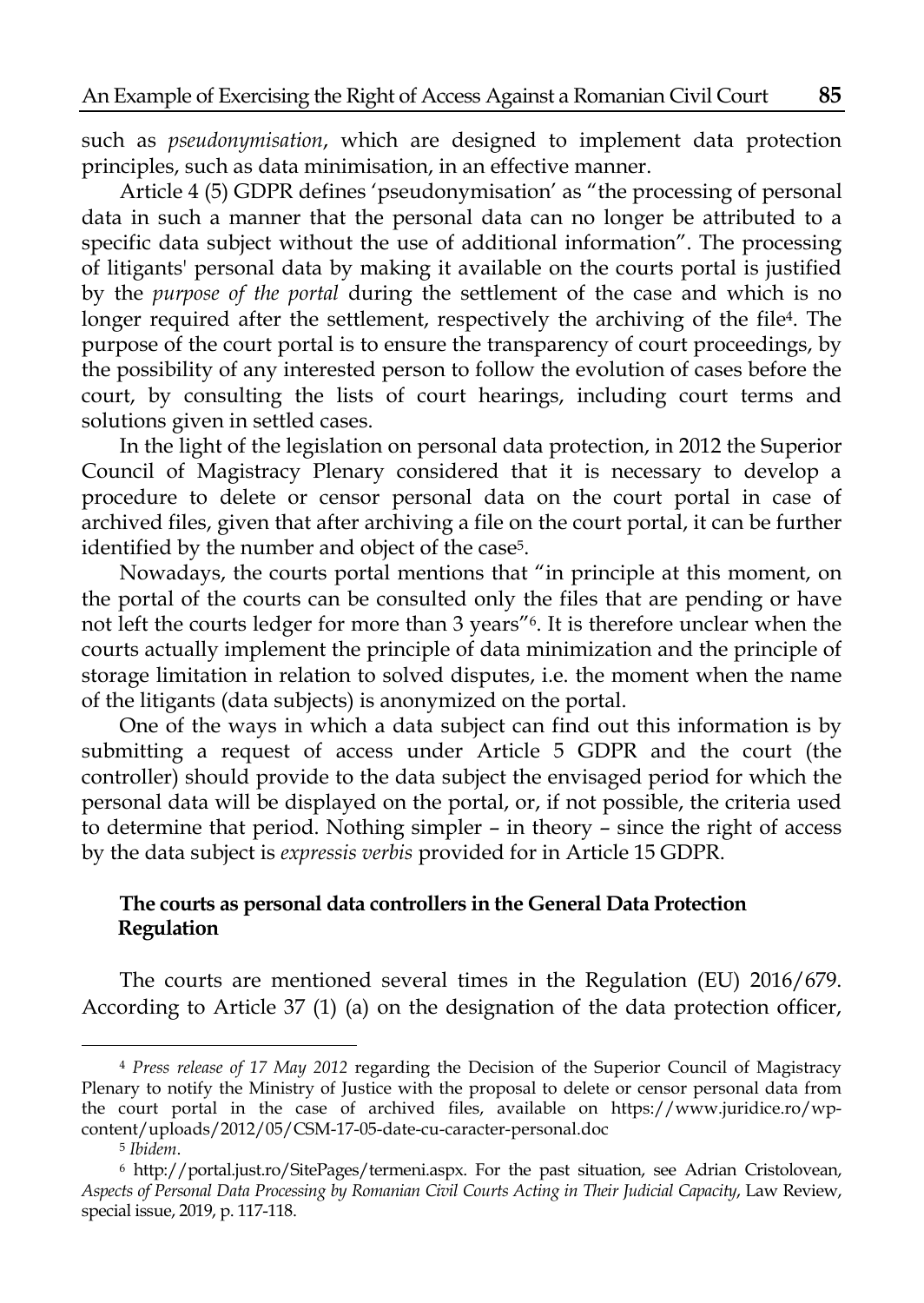such as *pseudonymisation*, which are designed to implement data protection principles, such as data minimisation, in an effective manner.

Article 4 (5) GDPR defines 'pseudonymisation' as "the processing of personal data in such a manner that the personal data can no longer be attributed to a specific data subject without the use of additional information". The processing of litigants' personal data by making it available on the courts portal is justified by the *purpose of the portal* during the settlement of the case and which is no longer required after the settlement, respectively the archiving of the file4. The purpose of the court portal is to ensure the transparency of court proceedings, by the possibility of any interested person to follow the evolution of cases before the court, by consulting the lists of court hearings, including court terms and solutions given in settled cases.

In the light of the legislation on personal data protection, in 2012 the Superior Council of Magistracy Plenary considered that it is necessary to develop a procedure to delete or censor personal data on the court portal in case of archived files, given that after archiving a file on the court portal, it can be further identified by the number and object of the case<sup>5</sup>.

Nowadays, the courts portal mentions that "in principle at this moment, on the portal of the courts can be consulted only the files that are pending or have not left the courts ledger for more than 3 years"6. It is therefore unclear when the courts actually implement the principle of data minimization and the principle of storage limitation in relation to solved disputes, i.e. the moment when the name of the litigants (data subjects) is anonymized on the portal.

One of the ways in which a data subject can find out this information is by submitting a request of access under Article 5 GDPR and the court (the controller) should provide to the data subject the envisaged period for which the personal data will be displayed on the portal, or, if not possible, the criteria used to determine that period. Nothing simpler – in theory – since the right of access by the data subject is *expressis verbis* provided for in Article 15 GDPR.

## **The courts as personal data controllers in the General Data Protection Regulation**

The courts are mentioned several times in the Regulation (EU) 2016/679. According to Article 37 (1) (a) on the designation of the data protection officer,

<sup>4</sup> *Press release of 17 May 2012* regarding the Decision of the Superior Council of Magistracy Plenary to notify the Ministry of Justice with the proposal to delete or censor personal data from the court portal in the case of archived files, available on https://www.juridice.ro/wpcontent/uploads/2012/05/CSM-17-05-date-cu-caracter-personal.doc<br><sup>5</sup> *Ibidem*.<br><sup>6</sup> http://portal.just.ro/SitePages/termeni.aspx. For the past situation, see Adrian Cristolovean,

*Aspects of Personal Data Processing by Romanian Civil Courts Acting in Their Judicial Capacity*, Law Review, special issue, 2019, p. 117-118.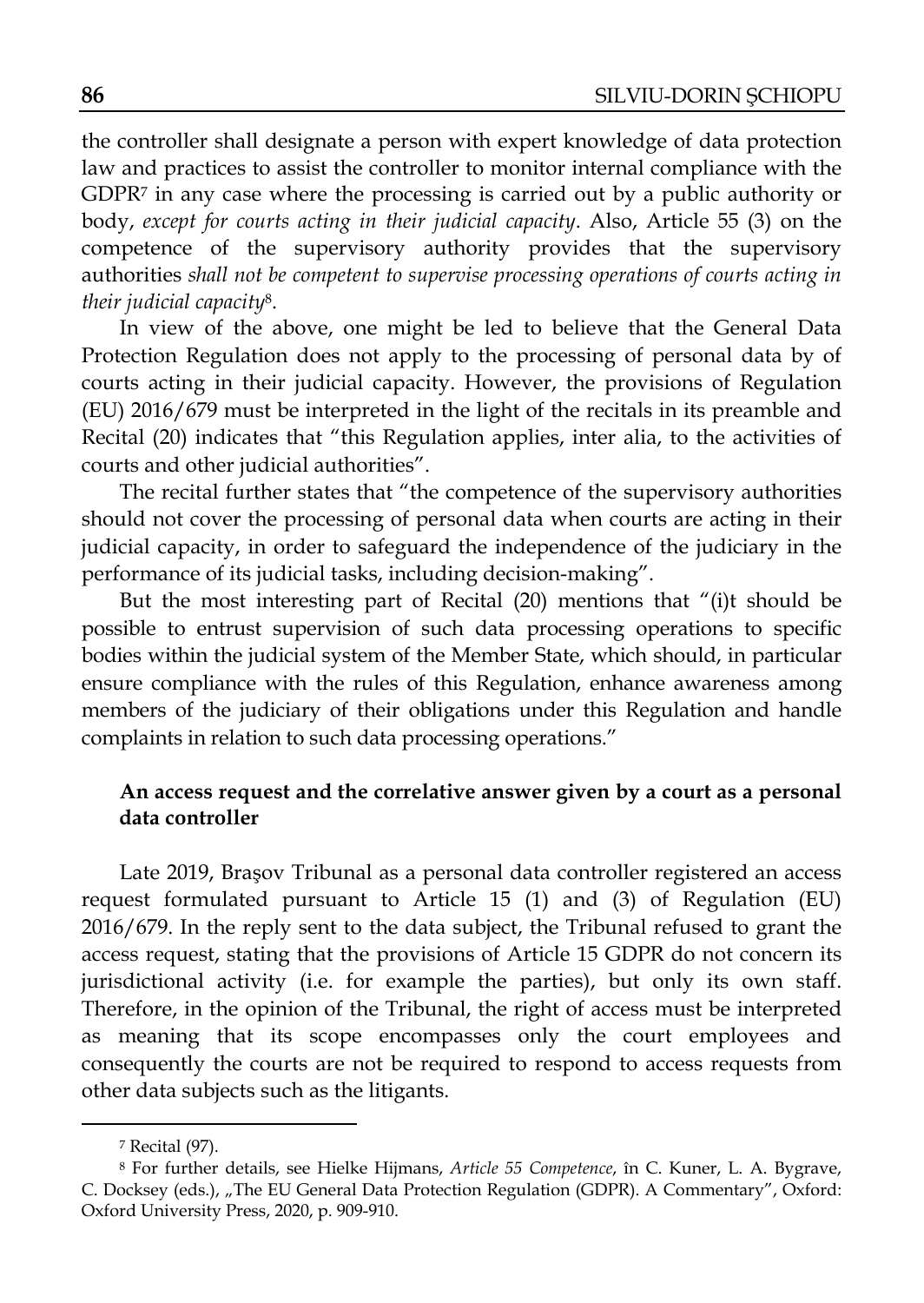the controller shall designate a person with expert knowledge of data protection law and practices to assist the controller to monitor internal compliance with the GDPR7 in any case where the processing is carried out by a public authority or body, *except for courts acting in their judicial capacity*. Also, Article 55 (3) on the competence of the supervisory authority provides that the supervisory authorities *shall not be competent to supervise processing operations of courts acting in their judicial capacity*8.

In view of the above, one might be led to believe that the General Data Protection Regulation does not apply to the processing of personal data by of courts acting in their judicial capacity. However, the provisions of Regulation (EU) 2016/679 must be interpreted in the light of the recitals in its preamble and Recital (20) indicates that "this Regulation applies, inter alia, to the activities of courts and other judicial authorities".

The recital further states that "the competence of the supervisory authorities should not cover the processing of personal data when courts are acting in their judicial capacity, in order to safeguard the independence of the judiciary in the performance of its judicial tasks, including decision-making".

But the most interesting part of Recital (20) mentions that "(i)t should be possible to entrust supervision of such data processing operations to specific bodies within the judicial system of the Member State, which should, in particular ensure compliance with the rules of this Regulation, enhance awareness among members of the judiciary of their obligations under this Regulation and handle complaints in relation to such data processing operations."

# **An access request and the correlative answer given by a court as a personal data controller**

Late 2019, Braşov Tribunal as a personal data controller registered an access request formulated pursuant to Article 15 (1) and (3) of Regulation (EU) 2016/679. In the reply sent to the data subject, the Tribunal refused to grant the access request, stating that the provisions of Article 15 GDPR do not concern its jurisdictional activity (i.e. for example the parties), but only its own staff. Therefore, in the opinion of the Tribunal, the right of access must be interpreted as meaning that its scope encompasses only the court employees and consequently the courts are not be required to respond to access requests from other data subjects such as the litigants.

<sup>7</sup> Recital (97).

<sup>8</sup> For further details, see Hielke Hijmans, *Article 55 Competence*, în C. Kuner, L. A. Bygrave, C. Docksey (eds.), "The EU General Data Protection Regulation (GDPR). A Commentary", Oxford: Oxford University Press, 2020, p. 909-910.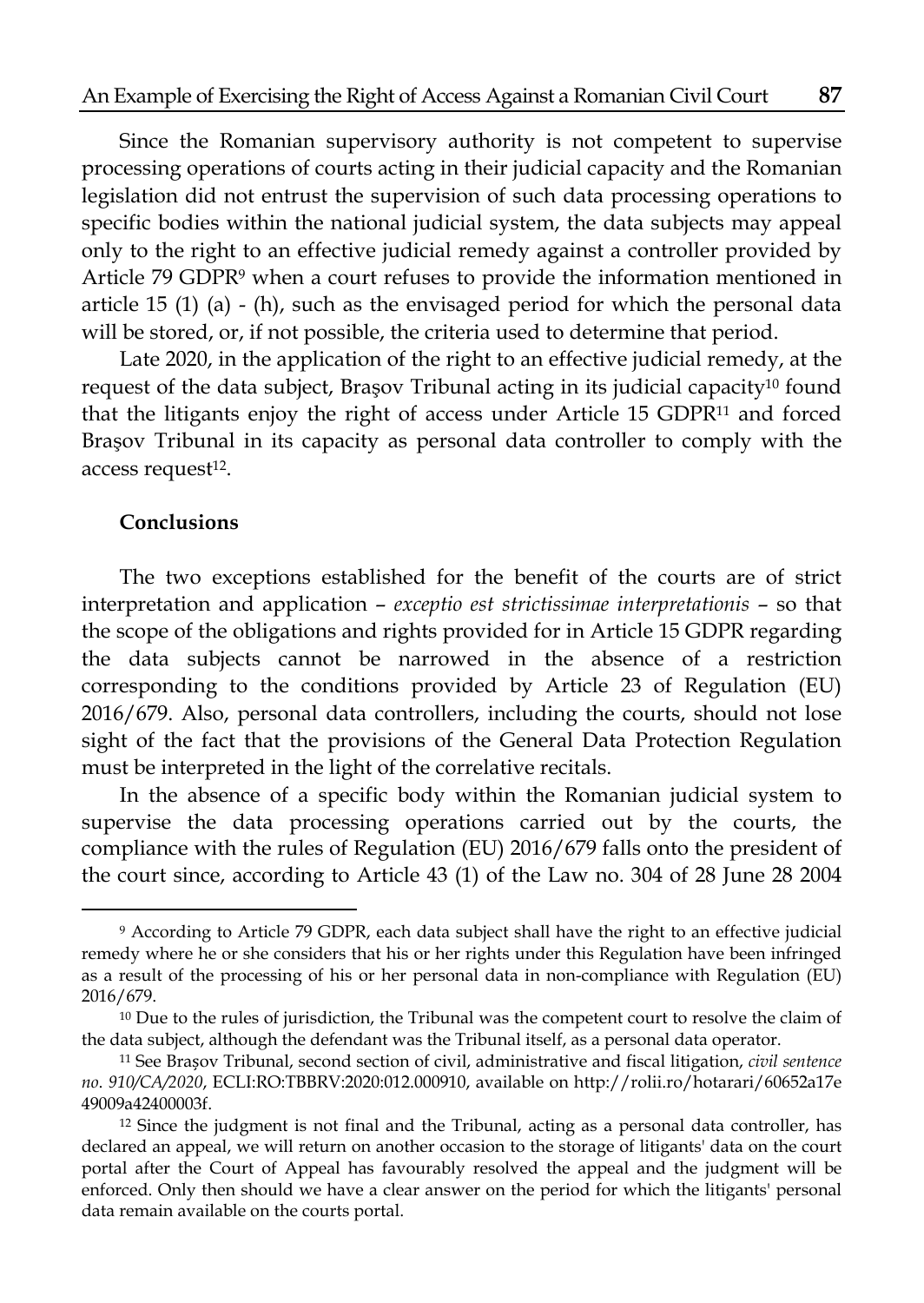Since the Romanian supervisory authority is not competent to supervise processing operations of courts acting in their judicial capacity and the Romanian legislation did not entrust the supervision of such data processing operations to specific bodies within the national judicial system, the data subjects may appeal only to the right to an effective judicial remedy against a controller provided by Article 79 GDPR9 when a court refuses to provide the information mentioned in article 15 (1) (a) - (h), such as the envisaged period for which the personal data will be stored, or, if not possible, the criteria used to determine that period.

Late 2020, in the application of the right to an effective judicial remedy, at the request of the data subject, Braşov Tribunal acting in its judicial capacity<sup>10</sup> found that the litigants enjoy the right of access under Article 15 GDPR11 and forced Braşov Tribunal in its capacity as personal data controller to comply with the access request<sup>12</sup>.

## **Conclusions**

The two exceptions established for the benefit of the courts are of strict interpretation and application – *exceptio est strictissimae interpretationis* – so that the scope of the obligations and rights provided for in Article 15 GDPR regarding the data subjects cannot be narrowed in the absence of a restriction corresponding to the conditions provided by Article 23 of Regulation (EU) 2016/679. Also, personal data controllers, including the courts, should not lose sight of the fact that the provisions of the General Data Protection Regulation must be interpreted in the light of the correlative recitals.

In the absence of a specific body within the Romanian judicial system to supervise the data processing operations carried out by the courts, the compliance with the rules of Regulation (EU) 2016/679 falls onto the president of the court since, according to Article 43 (1) of the Law no. 304 of 28 June 28 2004

<sup>9</sup> According to Article 79 GDPR, each data subject shall have the right to an effective judicial remedy where he or she considers that his or her rights under this Regulation have been infringed as a result of the processing of his or her personal data in non-compliance with Regulation (EU) 2016/679.

<sup>&</sup>lt;sup>10</sup> Due to the rules of jurisdiction, the Tribunal was the competent court to resolve the claim of the data subject, although the defendant was the Tribunal itself, as a personal data operator.

<sup>11</sup> See Brașov Tribunal, second section of civil, administrative and fiscal litigation, *civil sentence no*. *910/CA/2020*, ECLI:RO:TBBRV:2020:012.000910, available on http://rolii.ro/hotarari/60652a17e 49009a42400003f.

<sup>&</sup>lt;sup>12</sup> Since the judgment is not final and the Tribunal, acting as a personal data controller, has declared an appeal, we will return on another occasion to the storage of litigants' data on the court portal after the Court of Appeal has favourably resolved the appeal and the judgment will be enforced. Only then should we have a clear answer on the period for which the litigants' personal data remain available on the courts portal.